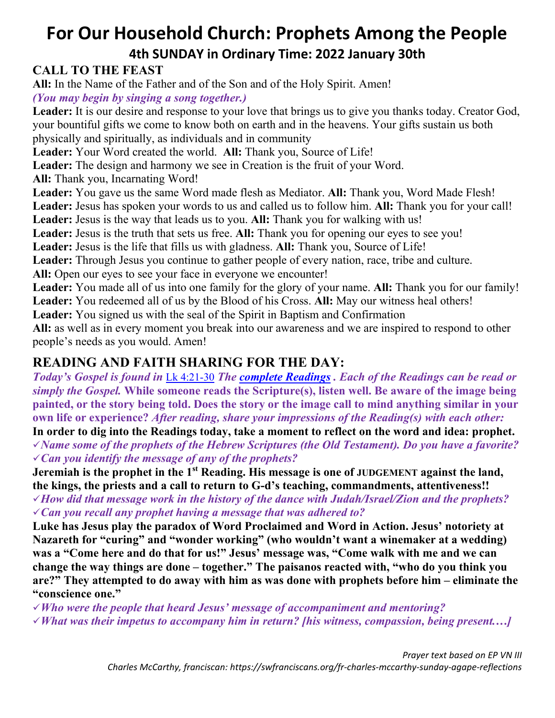# **For Our Household Church: Prophets Among the People 4th SUNDAY in Ordinary Time: 2022 January 30th**

### **CALL TO THE FEAST**

**All:** In the Name of the Father and of the Son and of the Holy Spirit. Amen! *(You may begin by singing a song together.)*

Leader: It is our desire and response to your love that brings us to give you thanks today. Creator God, your bountiful gifts we come to know both on earth and in the heavens. Your gifts sustain us both physically and spiritually, as individuals and in community

**Leader:** Your Word created the world. **All:** Thank you, Source of Life!

Leader: The design and harmony we see in Creation is the fruit of your Word.

**All:** Thank you, Incarnating Word!

**Leader:** You gave us the same Word made flesh as Mediator. **All:** Thank you, Word Made Flesh!

**Leader:** Jesus has spoken your words to us and called us to follow him. **All:** Thank you for your call!

**Leader:** Jesus is the way that leads us to you. **All:** Thank you for walking with us!

**Leader:** Jesus is the truth that sets us free. **All:** Thank you for opening our eyes to see you!

**Leader:** Jesus is the life that fills us with gladness. **All:** Thank you, Source of Life!

Leader: Through Jesus you continue to gather people of every nation, race, tribe and culture.

**All:** Open our eyes to see your face in everyone we encounter!

**Leader:** You made all of us into one family for the glory of your name. **All:** Thank you for our family! **Leader:** You redeemed all of us by the Blood of his Cross. **All:** May our witness heal others!

**Leader:** You signed us with the seal of the Spirit in Baptism and Confirmation

**All:** as well as in every moment you break into our awareness and we are inspired to respond to other people's needs as you would. Amen!

## **READING AND FAITH SHARING FOR THE DAY:**

*Today's Gospel is found in* [Lk 4:21-30](https://bible.usccb.org/bible/luke/4?21) *The [complete Readings](https://bible.usccb.org/bible/readings/013022.cfm) . Each of the Readings can be read or simply the Gospel.* **While someone reads the Scripture(s), listen well. Be aware of the image being painted, or the story being told. Does the story or the image call to mind anything similar in your own life or experience?** *After reading, share your impressions of the Reading(s) with each other:*

**In order to dig into the Readings today, take a moment to reflect on the word and idea: prophet.**  *Name some of the prophets of the Hebrew Scriptures (the Old Testament). Do you have a favorite? Can you identify the message of any of the prophets?* 

**Jeremiah is the prophet in the 1st Reading. His message is one of JUDGEMENT against the land, the kings, the priests and a call to return to G-d's teaching, commandments, attentiveness!!**

*How did that message work in the history of the dance with Judah/Israel/Zion and the prophets? Can you recall any prophet having a message that was adhered to?*

**Luke has Jesus play the paradox of Word Proclaimed and Word in Action. Jesus' notoriety at Nazareth for "curing" and "wonder working" (who wouldn't want a winemaker at a wedding) was a "Come here and do that for us!" Jesus' message was, "Come walk with me and we can change the way things are done – together." The paisanos reacted with, "who do you think you are?" They attempted to do away with him as was done with prophets before him – eliminate the "conscience one."** 

*Who were the people that heard Jesus' message of accompaniment and mentoring?*

*What was their impetus to accompany him in return? [his witness, compassion, being present.…]*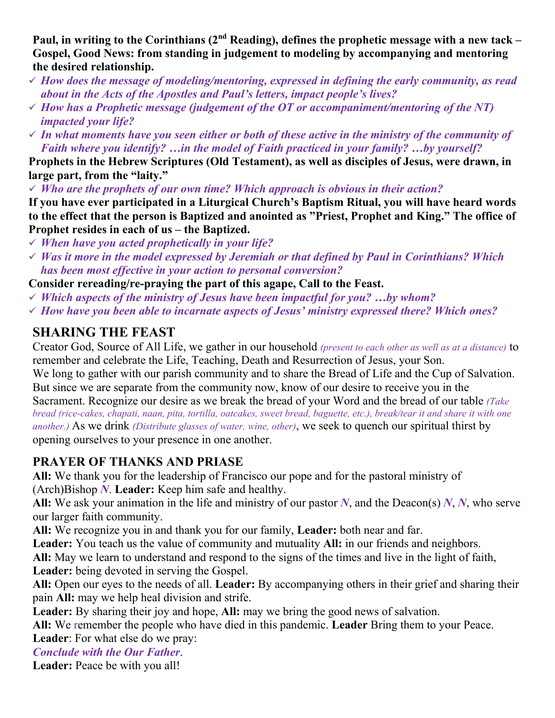**Paul, in writing to the Corinthians (2nd Reading), defines the prophetic message with a new tack – Gospel, Good News: from standing in judgement to modeling by accompanying and mentoring the desired relationship.** 

- *How does the message of modeling/mentoring, expressed in defining the early community, as read about in the Acts of the Apostles and Paul's letters, impact people's lives?*
- *How has a Prophetic message (judgement of the OT or accompaniment/mentoring of the NT) impacted your life?*
- *In what moments have you seen either or both of these active in the ministry of the community of Faith where you identify? …in the model of Faith practiced in your family? …by yourself?*

**Prophets in the Hebrew Scriptures (Old Testament), as well as disciples of Jesus, were drawn, in large part, from the "laity."**

*Who are the prophets of our own time? Which approach is obvious in their action?*

**If you have ever participated in a Liturgical Church's Baptism Ritual, you will have heard words to the effect that the person is Baptized and anointed as "Priest, Prophet and King." The office of Prophet resides in each of us – the Baptized.**

- *When have you acted prophetically in your life?*
- *Was it more in the model expressed by Jeremiah or that defined by Paul in Corinthians? Which has been most effective in your action to personal conversion?*

**Consider rereading/re-praying the part of this agape, Call to the Feast.** 

- *Which aspects of the ministry of Jesus have been impactful for you? …by whom?*
- *How have you been able to incarnate aspects of Jesus' ministry expressed there? Which ones?*

### **SHARING THE FEAST**

Creator God, Source of All Life, we gather in our household *(present to each other as well as at a distance)* to remember and celebrate the Life, Teaching, Death and Resurrection of Jesus, your Son.

We long to gather with our parish community and to share the Bread of Life and the Cup of Salvation. But since we are separate from the community now, know of our desire to receive you in the

Sacrament. Recognize our desire as we break the bread of your Word and the bread of our table *(Take bread (rice-cakes, chapati, naan, pita, tortilla, oatcakes, sweet bread, baguette, etc.), break/tear it and share it with one another.)* As we drink *(Distribute glasses of water, wine, other)*, we seek to quench our spiritual thirst by opening ourselves to your presence in one another.

#### **PRAYER OF THANKS AND PRIASE**

**All:** We thank you for the leadership of Francisco our pope and for the pastoral ministry of (Arch)Bishop *N*. **Leader:** Keep him safe and healthy.

**All:** We ask your animation in the life and ministry of our pastor *N*, and the Deacon(s) *N*, *N*, who serve our larger faith community.

**All:** We recognize you in and thank you for our family, **Leader:** both near and far.

**Leader:** You teach us the value of community and mutuality **All:** in our friends and neighbors.

**All:** May we learn to understand and respond to the signs of the times and live in the light of faith, **Leader:** being devoted in serving the Gospel.

**All:** Open our eyes to the needs of all. **Leader:** By accompanying others in their grief and sharing their pain **All:** may we help heal division and strife.

Leader: By sharing their joy and hope, All: may we bring the good news of salvation.

**All:** We remember the people who have died in this pandemic. **Leader** Bring them to your Peace.

**Leader**: For what else do we pray:

#### *Conclude with the Our Father*.

**Leader:** Peace be with you all!